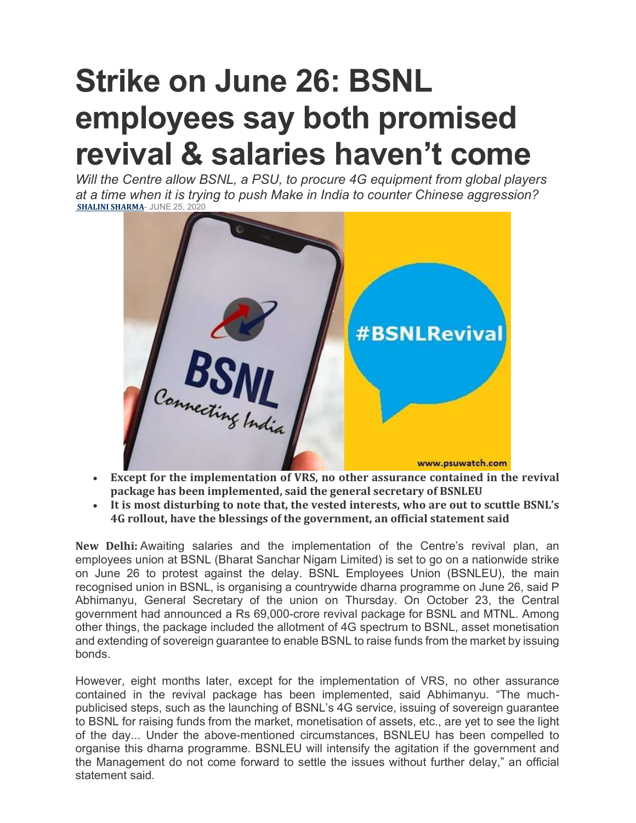## Strike on June 26: BSNL employees say both promised revival & salaries haven't come

Will the Centre allow BSNL, a PSU, to procure 4G equipment from global players at a time when it is trying to push Make in India to counter Chinese aggression? SHALINI SHARMA- JUNE 25, 2020



- Except for the implementation of VRS, no other assurance contained in the revival package has been implemented, said the general secretary of BSNLEU
- It is most disturbing to note that, the vested interests, who are out to scuttle BSNL's 4G rollout, have the blessings of the government, an official statement said

New Delhi: Awaiting salaries and the implementation of the Centre's revival plan, an employees union at BSNL (Bharat Sanchar Nigam Limited) is set to go on a nationwide strike on June 26 to protest against the delay. BSNL Employees Union (BSNLEU), the main recognised union in BSNL, is organising a countrywide dharna programme on June 26, said P Abhimanyu, General Secretary of the union on Thursday. On October 23, the Central government had announced a Rs 69,000-crore revival package for BSNL and MTNL. Among other things, the package included the allotment of 4G spectrum to BSNL, asset monetisation and extending of sovereign guarantee to enable BSNL to raise funds from the market by issuing bonds.

However, eight months later, except for the implementation of VRS, no other assurance contained in the revival package has been implemented, said Abhimanyu. "The muchpublicised steps, such as the launching of BSNL's 4G service, issuing of sovereign guarantee to BSNL for raising funds from the market, monetisation of assets, etc., are yet to see the light of the day... Under the above-mentioned circumstances, BSNLEU has been compelled to organise this dharna programme. BSNLEU will intensify the agitation if the government and the Management do not come forward to settle the issues without further delay," an official statement said.